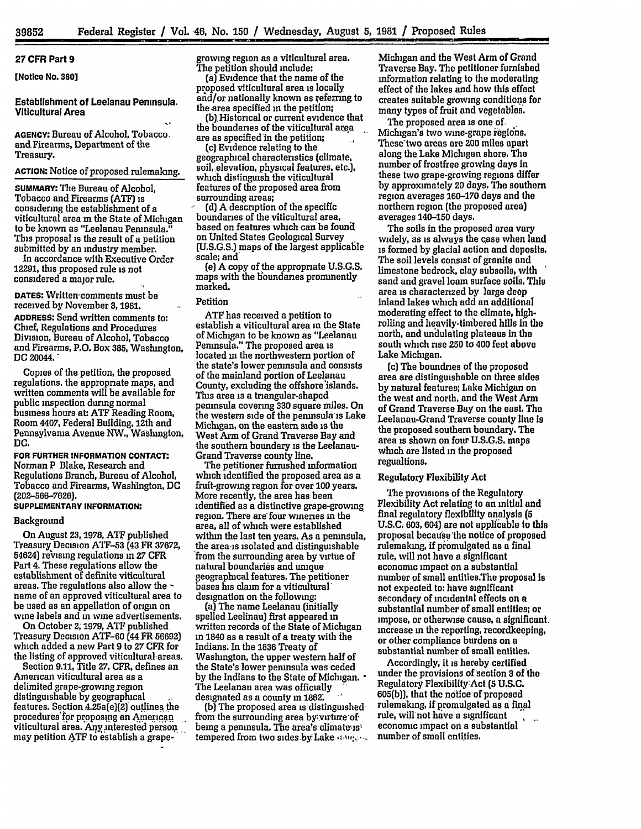# **27** CFR Part **9**

[Notice No. **380]**

# Establishment of Leelanau Peninsula. Viticultural Area

**AGENCY:** Bureau of Alcohol, Tobacco. and, Firearms, Department of the Treasury.

# **ACTION:** Notice of proposed rulemaking.

**SUMMARY:** The Bureau of Alcohol, Tobacco and Firearms **(ATF)** is considering the establishment of a viticultural area in the State of Michigan to be known as "Leelanau Peninsula." This proposal is the result of a petition submitted **by** an industry member.

In accordance with Executive Order **12291,** this proposed rule is not considered a major rule.

**DATES:** Written'comments must be received by November **3,1981. ADDRESS:** Send written comments to: Chief, Regulations and Procedures Division, Bureau of Alcohol, Tobacco and Firearms, P.O. Box **385,** Washington, DC 20044.

Copies of the petition, the proposed regulations, the appropriate maps, and written comments will be available for public inspection during normal business hours at: **ATF** Reading Room, Room 4407, Federal Building, 12th and Pennsylvania Avenue NW., Washington, **DC.**

**FOR FURTHER INFORMATION CONTACT.** Norman P Blake, Research and Regulations Branch, Bureau of Alcohol, Tobacco and Firearms, Washington, **DC (202-566-7626).**

# **SUPPLEMENTARY INFORMATION:**

#### Background

On August **23,1978, ATF** published Treasury Decision **ATF-53** (43 FR **37672,** 54624) revising regulations m **27** CFR Part 4. These regulations allow the establishment of definite viticultural<br>areas. The regulations also allow the name of an approved viticultural area to be used as an appellation of origin on wine labels and in wine advertisements.

On October **2; 1979, ATF** published Treasury Decision ATF-60 (44 FR **56692)** which added a new Part **9** to **27** CFR for the listing of approved viticultural areas. Section **9.11,** Title **27,** CFR, defines an

American viticultural area as a delimited grape-growing region distinguishable **by** geographical features. Section  $4.25a(e)(2)$  outlines the procedures'for proposing an American viticultural area. Any interested person may petition **ATF** to establish a grapegrowing region as a viticultural area. The petition should include:

(a) Evidence that the name of the proposed viticultural area is locally and/or nationally known as referring to the area specified in the petition;

(b).Historical or current evidence that the boundaries of the viticultural **area** are as specified in the petition;

(c) Evidence relating to the geographical characteristics (climate, soil, elevation, physical features, etc.), which distinguish the viticultural features of the proposed area from surrounding areas;

**(d} A** description of the specific boundaries of the viticultural area, based on features which can be founil on United States Geological Survey (U.S.G.S.) maps of the largest applicable scale; and'

**(e]** A copy of the appropriate U.S.G.S. maps with the b'oundanes prominently marked.

### Petition

**ATF** has received a petition to establish a viticultural area in the State of Michigan to be known as "Leelanau Peninsula." The proposed area is located **in** the northwestern portion of the state's lower peninsula and consists of the **mainland** portion of Leelanau County, excluding the offshore'islands. This area is a triangular-shaped peninsula covering **330** square miles. On the western side of the peninsula is Lake Michigan, on the eastern side is the West Arm of Grand Traverse Bay and the southern boundary is the Leelanau-Grand Traverse county line.

The petitioner furnished information which identified the proposed area as a fruit-growing region for over 100 years. More recently, the area has been identified as a distinctive grape-growing region. There are four wineries **in** the area, all of which were established within the last ten years. As a peninsula, the area is isolated and distinguishable 'from the surrounding area **by** virtue of natural boundaries and unique geographical features. The petitioner bases his claim for a viticultural designation on the following:

(a) The name Leelanau (initially spelled Leelinau) first appeared **in** written records of the State of Michigan **in** 1840 as a result of a treaty with the Indians. In the **1836** Treaty of Washington, the upper western half of the State's lower peninsula was ceded by the Indians to the State of Michigan.  $\cdot$ The Leelanau area was officially designated as a county in **1862:**

**(b]** The proposed area is distinguished from the surrounding area by virture of being a peninsula. The **area's** climate-is tempered from two sides by Lake  $\cdot \cdot \cdot$ 

Michigan and the West Arm of Grand Traverse Bay. The petitioner furnished information relating to the moderating effect of the lakes and how this effect creates suitable growing conditions for many types of fruit and vegetables.

The proposed area is one of. Michigan's two wine-grape regions. These'two areas are **200** miles apart along the Lake Michigan shore, The number of frostfree growing days in these two grape-growing regions differ **by** approximately 20 days, The southern region averages **160-170** days and the northern region (the proposed area) averages 140-150 days.

The soils in the proposed area vary widely, as is always the case when land is formed **by** glacial action and deposits. The soil levels consist of granite and limestone bedrock, clay subsoils, with sand and gravel loam surface soils, This area is characterized **by** large deep inland lakes which add an additional moderating effect to the climate, **high**rolling and heavily-timbered hills In the north, and undulating plateaus in the south which rise **250** to 400 feet above Lake Michigan.

(c) The boundries of the proposed area are distinguishable on three sides **by** natural features; Lake Michigan on the west and north, and the West Arm of Grand Traverse **Bay** on the east. The Leelanau-Grand Traverse county line **is** the proposed southern boundary. The area is shown on four **U.S.G.S.** maps which are listed **in** the proposed regualtions.

#### Regulatory Flexibility Act

The provisions of the Regulatory Flexibility Act relating to an initial and final regulatory flexibility analysis **(5** U.S.C. **603,** 604) are not applicable to this proposal becaufse'the notice of proposed rulemaking, **if** promulgated as a final rule, will not have a significant economic impact on a substantial number of small entities.The proposal Is not expected to: have significant secondary of incidental effects on a substantial number of small entities; or impose, or otherwise cause, a significant, increase **in** the reporting, recordkeeping, or other compliance burdens on a substantial number of small entities.

Accordingly, it is hereby certified under the provisions of section **3** of the Regulatory FlexibilityAct **(5 U.S.C.** 605(b)), that the notice of proposed rulemaking, if promulgated as a final rule, will not have a significant economic impact on a substantial number of small entities.